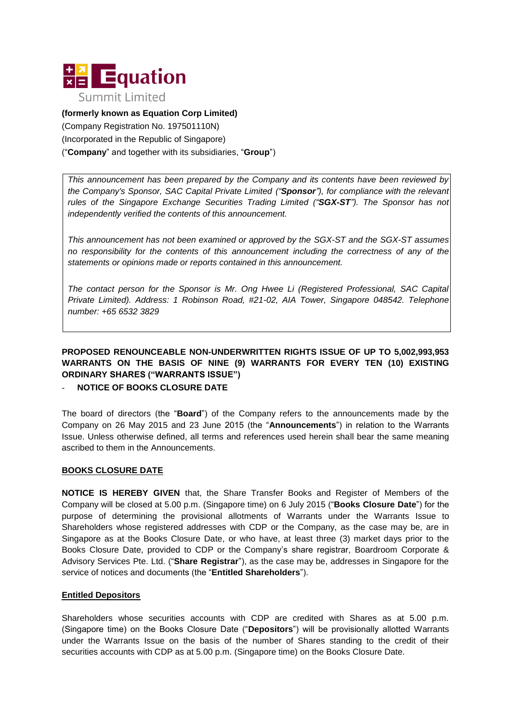

**(formerly known as Equation Corp Limited)**  (Company Registration No. 197501110N) (Incorporated in the Republic of Singapore) ("**Company**" and together with its subsidiaries, "**Group**")

*This announcement has been prepared by the Company and its contents have been reviewed by the Company's Sponsor, SAC Capital Private Limited ("Sponsor"), for compliance with the relevant rules of the Singapore Exchange Securities Trading Limited ("SGX-ST"). The Sponsor has not independently verified the contents of this announcement.*

*This announcement has not been examined or approved by the SGX-ST and the SGX-ST assumes no responsibility for the contents of this announcement including the correctness of any of the statements or opinions made or reports contained in this announcement.*

*The contact person for the Sponsor is Mr. Ong Hwee Li (Registered Professional, SAC Capital Private Limited). Address: 1 Robinson Road, #21-02, AIA Tower, Singapore 048542. Telephone number: +65 6532 3829*

# **PROPOSED RENOUNCEABLE NON-UNDERWRITTEN RIGHTS ISSUE OF UP TO 5,002,993,953 WARRANTS ON THE BASIS OF NINE (9) WARRANTS FOR EVERY TEN (10) EXISTING ORDINARY SHARES ("WARRANTS ISSUE")**

## **NOTICE OF BOOKS CLOSURE DATE**

The board of directors (the "**Board**") of the Company refers to the announcements made by the Company on 26 May 2015 and 23 June 2015 (the "**Announcements**") in relation to the Warrants Issue. Unless otherwise defined, all terms and references used herein shall bear the same meaning ascribed to them in the Announcements.

#### **BOOKS CLOSURE DATE**

**NOTICE IS HEREBY GIVEN** that, the Share Transfer Books and Register of Members of the Company will be closed at 5.00 p.m. (Singapore time) on 6 July 2015 ("**Books Closure Date**") for the purpose of determining the provisional allotments of Warrants under the Warrants Issue to Shareholders whose registered addresses with CDP or the Company, as the case may be, are in Singapore as at the Books Closure Date, or who have, at least three (3) market days prior to the Books Closure Date, provided to CDP or the Company's share registrar, Boardroom Corporate & Advisory Services Pte. Ltd. ("**Share Registrar**"), as the case may be, addresses in Singapore for the service of notices and documents (the "**Entitled Shareholders**").

#### **Entitled Depositors**

Shareholders whose securities accounts with CDP are credited with Shares as at 5.00 p.m. (Singapore time) on the Books Closure Date ("**Depositors**") will be provisionally allotted Warrants under the Warrants Issue on the basis of the number of Shares standing to the credit of their securities accounts with CDP as at 5.00 p.m. (Singapore time) on the Books Closure Date.